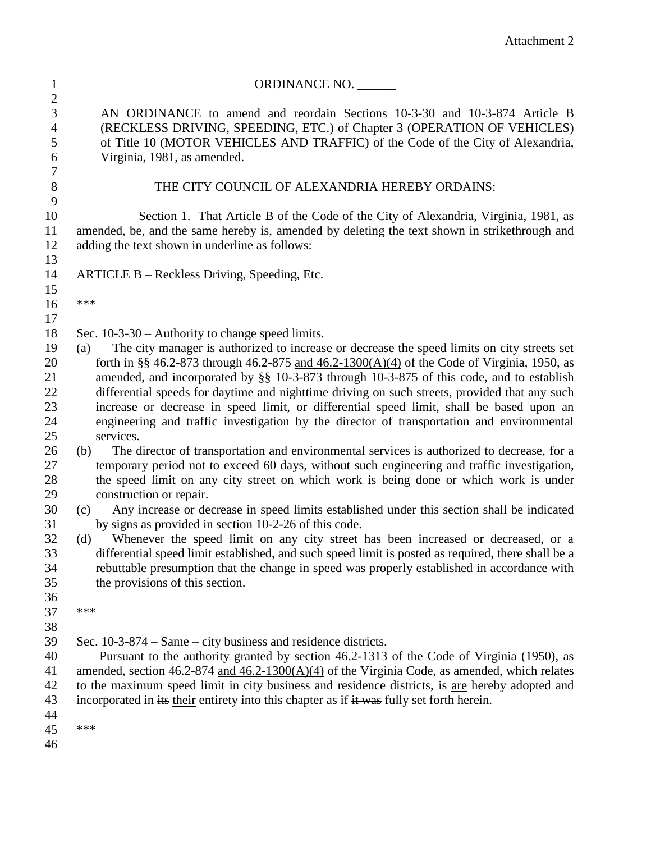| $\mathbf{1}$                                    | ORDINANCE NO.                                                                                                                                                                                                                                                           |
|-------------------------------------------------|-------------------------------------------------------------------------------------------------------------------------------------------------------------------------------------------------------------------------------------------------------------------------|
| $\overline{2}$<br>3<br>$\overline{4}$<br>5<br>6 | AN ORDINANCE to amend and reordain Sections 10-3-30 and 10-3-874 Article B<br>(RECKLESS DRIVING, SPEEDING, ETC.) of Chapter 3 (OPERATION OF VEHICLES)<br>of Title 10 (MOTOR VEHICLES AND TRAFFIC) of the Code of the City of Alexandria,<br>Virginia, 1981, as amended. |
| 7<br>8                                          | THE CITY COUNCIL OF ALEXANDRIA HEREBY ORDAINS:                                                                                                                                                                                                                          |
| 9                                               |                                                                                                                                                                                                                                                                         |
| 10<br>11                                        | Section 1. That Article B of the Code of the City of Alexandria, Virginia, 1981, as<br>amended, be, and the same hereby is, amended by deleting the text shown in strikethrough and                                                                                     |
| 12                                              | adding the text shown in underline as follows:                                                                                                                                                                                                                          |
| 13                                              |                                                                                                                                                                                                                                                                         |
| 14                                              | ARTICLE B – Reckless Driving, Speeding, Etc.                                                                                                                                                                                                                            |
| 15                                              |                                                                                                                                                                                                                                                                         |
| 16                                              | ***                                                                                                                                                                                                                                                                     |
| 17                                              |                                                                                                                                                                                                                                                                         |
| 18                                              | Sec. $10-3-30$ – Authority to change speed limits.                                                                                                                                                                                                                      |
| 19                                              | The city manager is authorized to increase or decrease the speed limits on city streets set<br>(a)                                                                                                                                                                      |
| 20                                              | forth in §§ 46.2-873 through 46.2-875 and $46.2-1300(A)(4)$ of the Code of Virginia, 1950, as                                                                                                                                                                           |
| 21                                              | amended, and incorporated by §§ 10-3-873 through 10-3-875 of this code, and to establish                                                                                                                                                                                |
| 22                                              | differential speeds for daytime and nighttime driving on such streets, provided that any such                                                                                                                                                                           |
| 23                                              | increase or decrease in speed limit, or differential speed limit, shall be based upon an                                                                                                                                                                                |
| 24                                              | engineering and traffic investigation by the director of transportation and environmental                                                                                                                                                                               |
| 25                                              | services.                                                                                                                                                                                                                                                               |
| 26                                              | The director of transportation and environmental services is authorized to decrease, for a<br>(b)<br>temporary period not to exceed 60 days, without such engineering and traffic investigation,                                                                        |
| 27<br>28                                        | the speed limit on any city street on which work is being done or which work is under                                                                                                                                                                                   |
| 29                                              | construction or repair.                                                                                                                                                                                                                                                 |
| 30                                              | Any increase or decrease in speed limits established under this section shall be indicated<br>(c)                                                                                                                                                                       |
| 31                                              | by signs as provided in section 10-2-26 of this code.                                                                                                                                                                                                                   |
| 32                                              | Whenever the speed limit on any city street has been increased or decreased, or a<br>(d)                                                                                                                                                                                |
| 33                                              | differential speed limit established, and such speed limit is posted as required, there shall be a                                                                                                                                                                      |
| 34                                              | rebuttable presumption that the change in speed was properly established in accordance with                                                                                                                                                                             |
| 35                                              | the provisions of this section.                                                                                                                                                                                                                                         |
| 36                                              |                                                                                                                                                                                                                                                                         |
| 37                                              | ***                                                                                                                                                                                                                                                                     |
| 38                                              |                                                                                                                                                                                                                                                                         |
| 39                                              | Sec. 10-3-874 – Same – city business and residence districts.                                                                                                                                                                                                           |
| 40                                              | Pursuant to the authority granted by section 46.2-1313 of the Code of Virginia (1950), as                                                                                                                                                                               |
| 41                                              | amended, section 46.2-874 and $46.2-1300(A)(4)$ of the Virginia Code, as amended, which relates                                                                                                                                                                         |
| 42                                              | to the maximum speed limit in city business and residence districts, is are hereby adopted and                                                                                                                                                                          |
| 43                                              | incorporated in its their entirety into this chapter as if it was fully set forth herein.                                                                                                                                                                               |
| 44                                              | ***                                                                                                                                                                                                                                                                     |
| 45                                              |                                                                                                                                                                                                                                                                         |